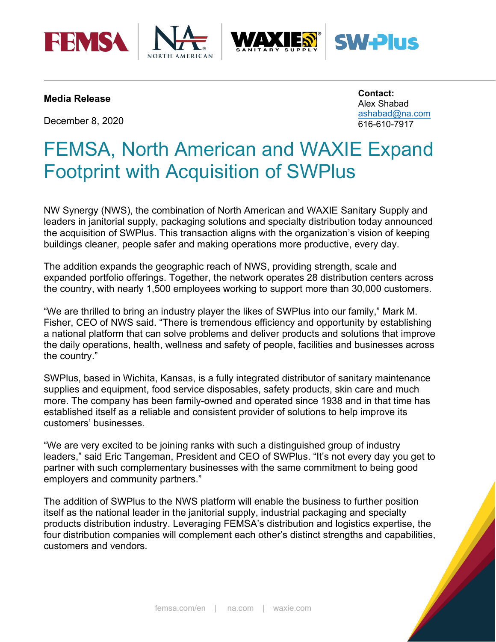





## **Media Release**

December 8, 2020

**Contact:**  Alex Shabad [ashabad@na.com](mailto:ashabad@na.com) 616-610-7917

**V-Plus** 

# FEMSA, North American and WAXIE Expand Footprint with Acquisition of SWPlus

NW Synergy (NWS), the combination of North American and WAXIE Sanitary Supply and leaders in janitorial supply, packaging solutions and specialty distribution today announced the acquisition of SWPlus. This transaction aligns with the organization's vision of keeping buildings cleaner, people safer and making operations more productive, every day.

The addition expands the geographic reach of NWS, providing strength, scale and expanded portfolio offerings. Together, the network operates 28 distribution centers across the country, with nearly 1,500 employees working to support more than 30,000 customers.

"We are thrilled to bring an industry player the likes of SWPlus into our family," Mark M. Fisher, CEO of NWS said. "There is tremendous efficiency and opportunity by establishing a national platform that can solve problems and deliver products and solutions that improve the daily operations, health, wellness and safety of people, facilities and businesses across the country."

SWPlus, based in Wichita, Kansas, is a fully integrated distributor of sanitary maintenance supplies and equipment, food service disposables, safety products, skin care and much more. The company has been family-owned and operated since 1938 and in that time has established itself as a reliable and consistent provider of solutions to help improve its customers' businesses.

"We are very excited to be joining ranks with such a distinguished group of industry leaders," said Eric Tangeman, President and CEO of SWPlus. "It's not every day you get to partner with such complementary businesses with the same commitment to being good employers and community partners."

The addition of SWPlus to the NWS platform will enable the business to further position itself as the national leader in the janitorial supply, industrial packaging and specialty products distribution industry. Leveraging FEMSA's distribution and logistics expertise, the four distribution companies will complement each other's distinct strengths and capabilities, customers and vendors.